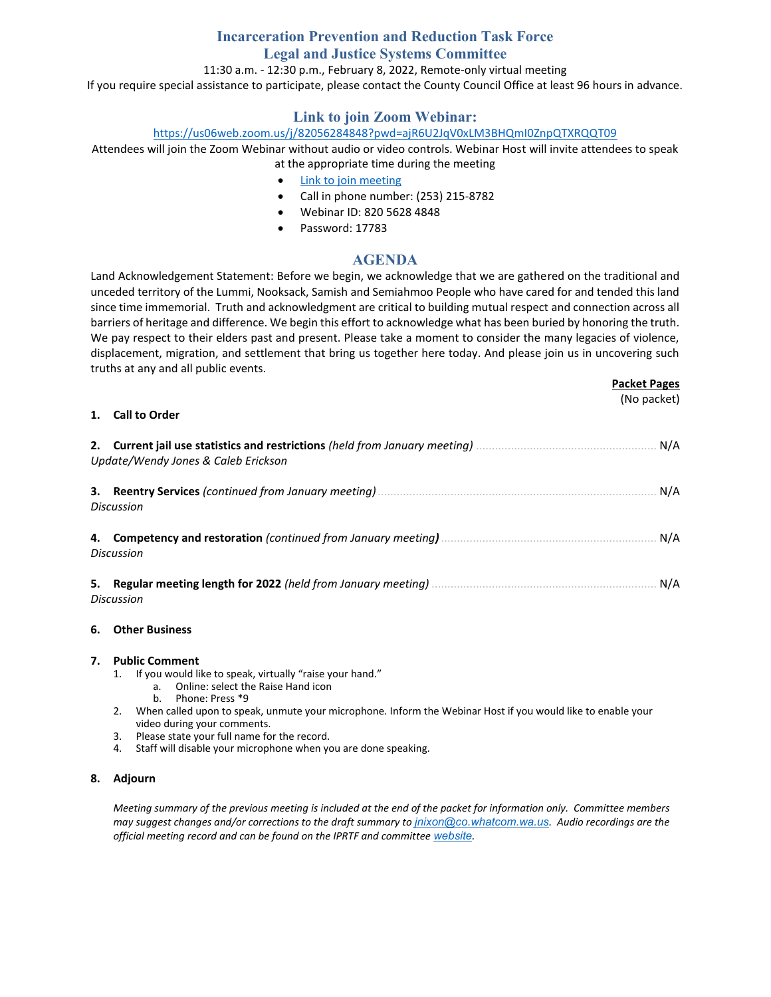# **Incarceration Prevention and Reduction Task Force Legal and Justice Systems Committee** 11:30 a.m. - 12:30 p.m., February 8, 2022, Remote-only virtual meeting If you require special assistance to participate, please contact the County Council Office at least 96 hours in advance.

# **Link to join Zoom Webinar:**

## <https://us06web.zoom.us/j/82056284848?pwd=ajR6U2JqV0xLM3BHQmI0ZnpQTXRQQT09>

Attendees will join the Zoom Webinar without audio or video controls. Webinar Host will invite attendees to speak at the appropriate time during the meeting

- [Link to join meeting](https://us06web.zoom.us/j/82056284848?pwd=ajR6U2JqV0xLM3BHQmI0ZnpQTXRQQT09)
- Call in phone number: (253) 215-8782
- Webinar ID: 820 5628 4848
- Password: 17783

## **AGENDA**

Land Acknowledgement Statement: Before we begin, we acknowledge that we are gathered on the traditional and unceded territory of the Lummi, Nooksack, Samish and Semiahmoo People who have cared for and tended this land since time immemorial. Truth and acknowledgment are critical to building mutual respect and connection across all barriers of heritage and difference. We begin this effort to acknowledge what has been buried by honoring the truth. We pay respect to their elders past and present. Please take a moment to consider the many legacies of violence, displacement, migration, and settlement that bring us together here today. And please join us in uncovering such truths at any and all public events.

**Packet Pages**

(No packet)

#### **1. Call to Order**

|    | Update/Wendy Jones & Caleb Erickson | N/A |
|----|-------------------------------------|-----|
|    | Discussion                          | N/A |
|    | Discussion                          | N/A |
| 5. | Discussion                          | N/A |

#### **6. Other Business**

#### **7. Public Comment**

- 1. If you would like to speak, virtually "raise your hand."
	- a. Online: select the Raise Hand icon
	- b. Phone: Press \*9
- 2. When called upon to speak, unmute your microphone. Inform the Webinar Host if you would like to enable your video during your comments.
- 3. Please state your full name for the record.
- 4. Staff will disable your microphone when you are done speaking.

#### **8. Adjourn**

*Meeting summary of the previous meeting is included at the end of the packet for information only. Committee members may suggest changes and/or corrections to the draft summary to [jnixon@co.whatcom.wa.us](mailto:jnixon@co.whatcom.wa.us). Audio recordings are the official meeting record and can be found on the IPRTF and committee [website](http://www.co.whatcom.wa.us/2052/Incarceration-Prevention-and-Reduction-T).*